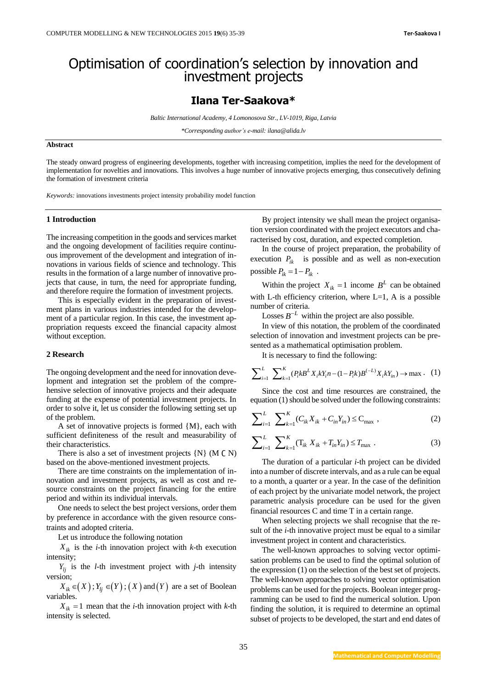# Optimisation of coordination's selection by innovation and investment projects

## **Ilana Ter-Saakova\***

*Baltic International Academy, 4 Lomonosova Str., LV-1019, Riga, Latvia*

*\*Corresponding author's e-mail: ilana@alida.lv*

### **Abstract**

The steady onward progress of engineering developments, together with increasing competition, implies the need for the development of implementation for novelties and innovations. This involves a huge number of innovative projects emerging, thus consecutively defining the formation of investment criteria

*Keywords:* innovations investments project intensity probability model function

### **1 Introduction**

The increasing competition in the goods and services market and the ongoing development of facilities require continuous improvement of the development and integration of innovations in various fields of science and technology. This results in the formation of a large number of innovative projects that cause, in turn, the need for appropriate funding, and therefore require the formation of investment projects.

This is especially evident in the preparation of investment plans in various industries intended for the development of a particular region. In this case, the investment appropriation requests exceed the financial capacity almost without exception.

### **2 Research**

The ongoing development and the need for innovation development and integration set the problem of the comprehensive selection of innovative projects and their adequate funding at the expense of potential investment projects. In order to solve it, let us consider the following setting set up of the problem.

A set of innovative projects is formed {M}, each with sufficient definiteness of the result and measurability of their characteristics.

There is also a set of investment projects  $\{N\}$  (M  $\subset N$ ) based on the above-mentioned investment projects.

There are time constraints on the implementation of innovation and investment projects, as well as cost and resource constraints on the project financing for the entire period and within its individual intervals.

One needs to select the best project versions, order them by preference in accordance with the given resource constraints and adopted criteria.

Let us introduce the following notation

 $X_{ik}$  is the *i*-th innovation project with *k*-th execution intensity;

 $Y_{lj}$  is the *l*-th investment project with *j*-th intensity version;

 $X_{ik} \in (X)$ ;  $Y_{lj} \in (Y)$ ;  $(X)$  and  $(Y)$  are a set of Boolean variables.

 $X_{ik} = 1$  mean that the *i*-th innovation project with *k*-th intensity is selected.

By project intensity we shall mean the project organisation version coordinated with the project executors and characterised by cost, duration, and expected completion.

In the course of project preparation, the probability of execution  $P_{ik}$  is possible and as well as non-execution possible  $P_{ik} = 1 - P_{ik}$ .

Within the project  $X_{ik} = 1$  income  $B^L$  can be obtained with L-th efficiency criterion, where  $L=1$ , A is a possible number of criteria.

Losses  $B^{-L}$  within the project are also possible.

In view of this notation, the problem of the coordinated selection of innovation and investment projects can be pre-

sented as a mathematical optimisation problem.  
\nIt is necessary to find the following:  
\n
$$
\sum_{i=1}^{L} \sum_{k=1}^{K} (P_i k B^L X_i k Y_i n - (1 - P_i k) B^{(-L)} X_i k Y_i n) \rightarrow \max. \quad (1)
$$

Since the cost and time resources are constrained, the

equation (1) should be solved under the following constraints:  
\n
$$
\sum_{i=1}^{L} \sum_{k=1}^{K} (C_{ik} X_{ik} + C_{in} Y_{in}) \leq C_{max} ,
$$
\n(2)

$$
\sum_{i=1}^{L} \sum_{k=1}^{K} (T_{ik} X_{ik} + T_{in} Y_{in}) \le T_{\text{max}}.
$$
\n(3)

The duration of a particular *i*-th project can be divided into a number of discrete intervals, and as a rule can be equal to a month, a quarter or a year. In the case of the definition of each project by the univariate model network, the project parametric analysis procedure can be used for the given financial resources C and time T in a certain range.

When selecting projects we shall recognise that the result of the *i*-th innovative project must be equal to a similar investment project in content and characteristics.

The well-known approaches to solving vector optimisation problems can be used to find the optimal solution of the expression (1) on the selection of the best set of projects. The well-known approaches to solving vector optimisation problems can be used for the projects. Boolean integer programming can be used to find the numerical solution. Upon finding the solution, it is required to determine an optimal subset of projects to be developed, the start and end dates of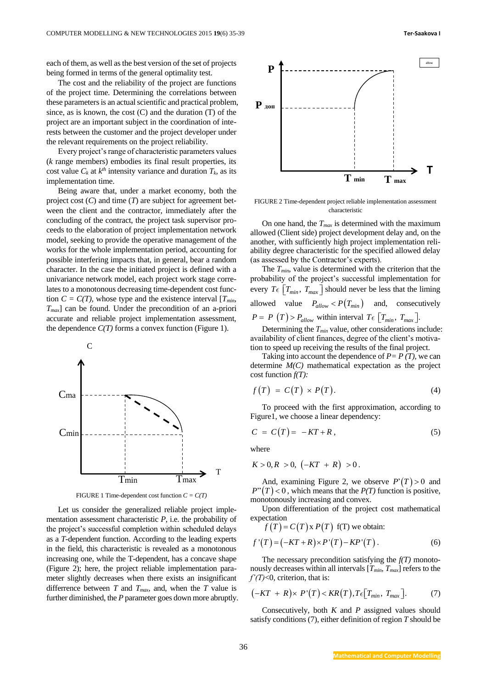each of them, as well as the best version of the set of projects being formed in terms of the general optimality test.

The cost and the reliability of the project are functions of the project time. Determining the correlations between these parameters is an actual scientific and practical problem, since, as is known, the cost (C) and the duration (T) of the project are an important subject in the coordination of interests between the customer and the project developer under the relevant requirements on the project reliability.

Every project's range of characteristic parameters values (*k* range members) embodies its final result properties, its cost value  $C_k$  at  $k^{th}$  intensity variance and duration  $T_k$ , as its implementation time.

Being aware that, under a market economy, both the project cost (*C*) and time (*T*) are subject for agreement between the client and the contractor, immediately after the concluding of the contract, the project task supervisor proceeds to the elaboration of project implementation network model, seeking to provide the operative management of the works for the whole implementation period, accounting for possible interfering impacts that, in general, bear a random character. In the case the initiated project is defined with a univariance network model, each project work stage correlates to a monotonous decreasing time-dependent cost function  $C = C(T)$ , whose type and the existence interval  $[T_{min},]$ *Tmax*] can be found. Under the precondition of an a-priori accurate and reliable project implementation assessment, the dependence  $C(T)$  forms a convex function (Figure 1).



FIGURE 1 Time-dependent cost function *C = C(T)*

Let us consider the generalized reliable project implementation assessment characteristic *P*, i.e. the probability of the project's successful completion within scheduled delays as a *T*-dependent function. According to the leading experts in the field, this characteristic is revealed as a monotonous increasing one, while the T-dependent, has a concave shape (Figure 2); here, the project reliable implementation parameter slightly decreases when there exists an insignificant difference between *T* and  $T_{max}$  and, when the *T* value is further diminished, the *P* parameter goes down more abruptly.



FIGURE 2 Time-dependent project reliable implementation assessment characteristic

On one hand, the *Tmax* is determined with the maximum allowed (Client side) project development delay and, on the another, with sufficiently high project implementation reliability degree characteristic for the specified allowed delay (as assessed by the Contractor's experts).

The *Tmin*, value is determined with the criterion that the probability of the project's successful implementation for every  $T \in \left[ T_{min}, T_{max} \right]$  should never be less that the liming allowed value  $P_{allow} < P(T_{min})$  and, consecutively  $P = P(T) > P_{allow}$  within interval  $T \in [T_{min}, T_{max}]$ .

Determining the *Tmin* value, other considerations include: availability of client finances, degree of the client's motivation to speed up receiving the results of the final project.

Taking into account the dependence of  $P = P(T)$ , we can determine *M(C)* mathematical expectation as the project cost function *f(T):*

$$
f(T) = C(T) \times P(T). \tag{4}
$$

To proceed with the first approximation, according to Figure1, we choose a linear dependency:

$$
C = C(T) = -KT + R, \qquad (5)
$$

where

$$
K > 0, R > 0, \, (-KT + R) > 0.
$$

And, examining Figure 2, we observe  $P(T) > 0$  and  $P''(T) < 0$ , which means that the *P(T)* function is positive, monotonously increasing and convex.

Upon differentiation of the project cost mathematical expectation

$$
f(T) = C(T) \times P(T) \text{ f(T) we obtain:}
$$
  

$$
f'(T) = (-KT + R) \times P'(T) - KP'(T).
$$
 (6)

The necessary precondition satisfying the *f(T)* monotonously decreases within all intervals  $[T_{min}, T_{max}]$  refers to the *f'(T)*<0, criterion, that is:

$$
(-KT + R) \times P'(T) < KR(T), T \in [T_{min}, T_{max}]. \tag{7}
$$

Consecutively, both *K* and *P* assigned values should satisfy conditions (7), either definition of region *T* should be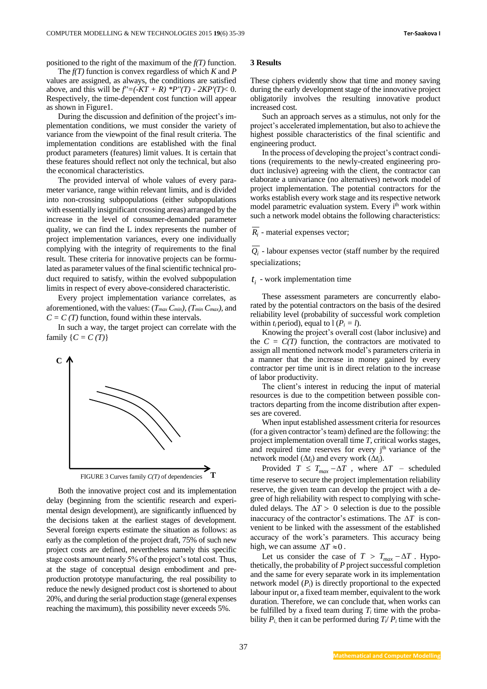positioned to the right of the maximum of the *f(T)* function.

The *f(T)* function is convex regardless of which *K* and *P*  values are assigned, as always, the conditions are satisfied above, and this will be  $f' = (-KT + R) *P''(T) - 2KP'(T) < 0$ . Respectively, the time-dependent cost function will appear as shown in Figure1.

During the discussion and definition of the project's implementation conditions, we must consider the variety of variance from the viewpoint of the final result criteria. The implementation conditions are established with the final product parameters (features) limit values. It is certain that these features should reflect not only the technical, but also the economical characteristics.

The provided interval of whole values of every parameter variance, range within relevant limits, and is divided into non-crossing subpopulations (either subpopulations with essentially insignificant crossing areas) arranged by the increase in the level of consumer-demanded parameter quality, we can find the L index represents the number of project implementation variances, every one individually complying with the integrity of requirements to the final result. These criteria for innovative projects can be formulated as parameter values of the final scientific technical product required to satisfy, within the evolved subpopulation limits in respect of every above-considered characteristic.

Every project implementation variance correlates, as aforementioned, with the values: (*Tmax Cmin), (Tmin Cmax)*, and  $C = C(T)$  function, found within these intervals.

In such a way, the target project can correlate with the family  $\{C = C(T)\}\$ 



Both the innovative project cost and its implementation delay (beginning from the scientific research and experimental design development), are significantly influenced by the decisions taken at the earliest stages of development. Several foreign experts estimate the situation as follows: as early as the completion of the project draft, 75% of such new project costs are defined, nevertheless namely this specific stage costs amount nearly 5% of the project's total cost. Thus, at the stage of conceptual design embodiment and preproduction prototype manufacturing, the real possibility to reduce the newly designed product cost is shortened to about 20%, and during the serial production stage (general expenses reaching the maximum), this possibility never exceeds 5%.

### **3 Results**

These ciphers evidently show that time and money saving during the early development stage of the innovative project obligatorily involves the resulting innovative product increased cost.

Such an approach serves as a stimulus, not only for the project's accelerated implementation, but also to achieve the highest possible characteristics of the final scientific and engineering product.

In the process of developing the project's contract conditions (requirements to the newly-created engineering product inclusive) agreeing with the client, the contractor can elaborate a univariance (no alternatives) network model of project implementation. The potential contractors for the works establish every work stage and its respective network model parametric evaluation system. Every i<sup>th</sup> work within such a network model obtains the following characteristics:

### *Ri* - material expenses vector;

 $Q_i$  - labour expenses vector (staff number by the required specializations;

## $t_i$  - work implementation time

These assessment parameters are concurrently elaborated by the potential contractors on the basis of the desired reliability level (probability of successful work completion within  $t_i$  period), equal to  $l (P_i = l)$ .

Knowing the project's overall cost (labor inclusive) and the  $C = C(T)$  function, the contractors are motivated to assign all mentioned network model's parameters criteria in a manner that the increase in money gained by every contractor per time unit is in direct relation to the increase of labor productivity.

The client's interest in reducing the input of material resources is due to the competition between possible contractors departing from the income distribution after expenses are covered.

When input established assessment criteria for resources (for a given contractor's team) defined are the following: the project implementation overall time *T*, critical works stages, and required time reserves for every  $j<sup>th</sup>$  variance of the network model  $(\Delta t_j)$  and every work  $(\Delta t_j)$ .

Provided  $T \leq T_{max} - \Delta T$ , where  $\Delta T$  – scheduled time reserve to secure the project implementation reliability reserve, the given team can develop the project with a degree of high reliability with respect to complying with scheduled delays. The  $\Delta T > 0$  selection is due to the possible inaccuracy of the contractor's estimations. The  $\Delta T$  is convenient to be linked with the assessment of the established accuracy of the work's parameters. This accuracy being high, we can assume  $\Delta T \approx 0$ .

Let us consider the case of  $T > T_{max} - \Delta T$ . Hypothetically, the probability of *P* project successful completion and the same for every separate work in its implementation network model  $(P_i)$  is directly proportional to the expected labour input or, a fixed team member, equivalent to the work duration. Therefore, we can conclude that, when works can be fulfilled by a fixed team during  $T_i$  time with the probability  $P_i$ , then it can be performed during  $T_i/P_i$  time with the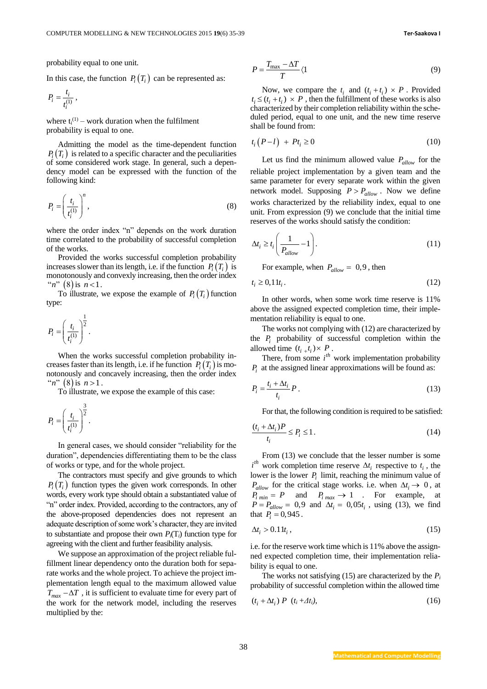probability equal to one unit.

In this case, the function  $P_i(T_i)$  can be represented as:

$$
P_i=\frac{t_i}{t_i^{(1)}}\,,
$$

where  $t_i^{(1)}$  – work duration when the fulfilment probability is equal to one.

Admitting the model as the time-dependent function  $P_i(T_i)$  is related to a specific character and the peculiarities of some considered work stage. In general, such a dependency model can be expressed with the function of the following kind:

$$
P_i = \left(\frac{t_i}{t_i^{(1)}}\right)^n,\tag{8}
$$

where the order index "n" depends on the work duration time correlated to the probability of successful completion of the works.

Provided the works successful completion probability increases slower than its length, i.e. if the function  $P_i(T_i)$  is monotonously and convexly increasing, then the order index " $n$ " (8) is  $n < 1$ .

To illustrate, we expose the example of  $P_i(T_i)$  function type:

$$
P_i = \left(\frac{t_i}{t_i^{(1)}}\right)^{\!\!\frac{1}{2}}.
$$

When the works successful completion probability increases faster than its length, i.e. if he function  $P_i(T_i)$  is monotonously and concavely increasing, then the order index " $n$ " (8) is  $n > 1$ .

To illustrate, we expose the example of this case:

$$
P_i = \left(\frac{t_i}{t_i^{(1)}}\right)^{\frac{3}{2}}.
$$

In general cases, we should consider "reliability for the duration", dependencies differentiating them to be the class of works or type, and for the whole project.

The contractors must specify and give grounds to which  $P_i(T_i)$  function types the given work corresponds. In other words, every work type should obtain a substantiated value of "n" order index. Provided, according to the contractors, any of the above-proposed dependencies does not represent an adequate description of some work's character, they are invited to substantiate and propose their own  $P_i(T_i)$  function type for agreeing with the client and further feasibility analysis.

We suppose an approximation of the project reliable fulfillment linear dependency onto the duration both for separate works and the whole project. To achieve the project implementation length equal to the maximum allowed value  $T_{max} - \Delta T$ , it is sufficient to evaluate time for every part of the work for the network model, including the reserves multiplied by the:

$$
P = \frac{T_{\text{max}} - \Delta T}{T} \langle 1 \tag{9}
$$

Now, we compare the  $t_i$  and  $(t_i + t_i) \times P$ . Provided  $t_i \leq (t_i + t_i) \times P$ , then the fulfillment of these works is also characterized by their completion reliability within the scheduled period, equal to one unit, and the new time reserve shall be found from:

$$
t_i\left(P - l\right) + Pt_i \ge 0\tag{10}
$$

Let us find the minimum allowed value  $P_{allow}$  for the reliable project implementation by a given team and the same parameter for every separate work within the given network model. Supposing  $P > P_{allow}$ . Now we define works characterized by the reliability index, equal to one unit. From expression (9) we conclude that the initial time reserves of the works should satisfy the condition:

$$
\Delta t_i \ge t_i \left( \frac{1}{P_{allow}} - 1 \right). \tag{11}
$$

For example, when  $P_{allow} = 0.9$ , then

$$
t_i \ge 0, 11t_i. \tag{12}
$$

In other words, when some work time reserve is 11% above the assigned expected completion time, their implementation reliability is equal to one.

The works not complying with (12) are characterized by the  $P_i$  probability of successful completion within the allowed time  $(t_{i+1}, t_i) \times P$ .

There, from some  $i<sup>th</sup>$  work implementation probability  $P_i$  at the assigned linear approximations will be found as:

$$
P_i = \frac{t_i + \Delta t_i}{t_i} P. \tag{13}
$$

For that, the following condition is required to be satisfied:

$$
\frac{(t_i + \Delta t_i)P}{t_i} \le P_i \le 1.
$$
\n(14)

From (13) we conclude that the lesser number is some  $i^{th}$  work completion time reserve  $\Delta t_i$  respective to  $t_i$ , the lower is the lower  $P_i$  limit, reaching the minimum value of  $P_{allow}$  for the critical stage works. i.e. when  $\Delta t_i \rightarrow 0$ , at  $P_{i \text{ min}} = P$  and  $P_{i \text{ max}} \rightarrow 1$  . For example, at  $P = P_{allow} = 0.9$  and  $\Delta t_i = 0.05 t_i$ , using (13), we find that  $P_i = 0.945$ .

$$
\Delta t_i > 0.11t_i, \tag{15}
$$

i.e. for the reserve work time which is 11% above the assignned expected completion time, their implementation reliability is equal to one.

The works not satisfying (15) are characterized by the  $P_i$ probability of successful completion within the allowed time

$$
(t_i + \Delta t_i) P (t_i + \Delta t_i), \qquad (16)
$$